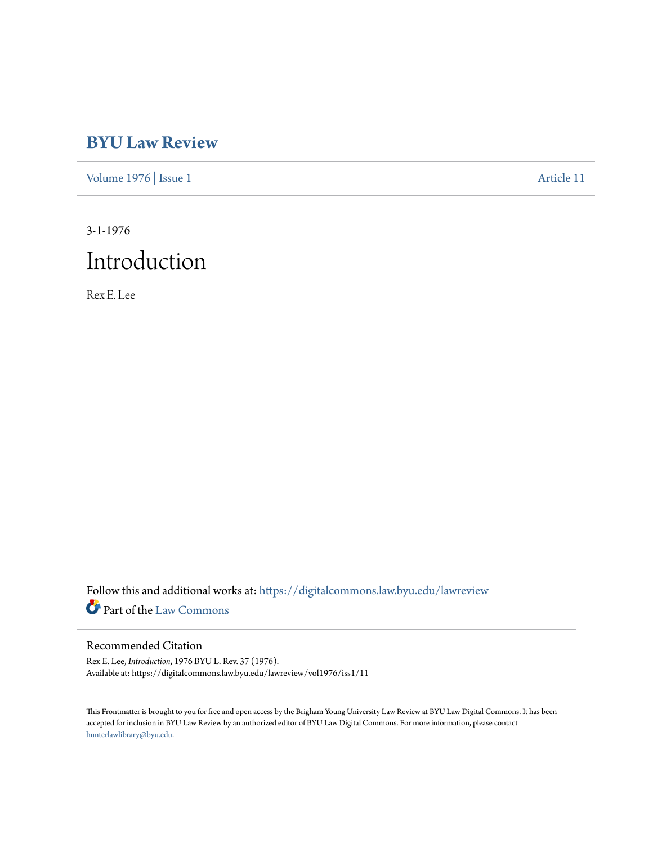# **[BYU Law Review](https://digitalcommons.law.byu.edu/lawreview?utm_source=digitalcommons.law.byu.edu%2Flawreview%2Fvol1976%2Fiss1%2F11&utm_medium=PDF&utm_campaign=PDFCoverPages)**

[Volume 1976](https://digitalcommons.law.byu.edu/lawreview/vol1976?utm_source=digitalcommons.law.byu.edu%2Flawreview%2Fvol1976%2Fiss1%2F11&utm_medium=PDF&utm_campaign=PDFCoverPages) | [Issue 1](https://digitalcommons.law.byu.edu/lawreview/vol1976/iss1?utm_source=digitalcommons.law.byu.edu%2Flawreview%2Fvol1976%2Fiss1%2F11&utm_medium=PDF&utm_campaign=PDFCoverPages) [Article 11](https://digitalcommons.law.byu.edu/lawreview/vol1976/iss1/11?utm_source=digitalcommons.law.byu.edu%2Flawreview%2Fvol1976%2Fiss1%2F11&utm_medium=PDF&utm_campaign=PDFCoverPages)

3-1-1976 Introduction

Rex E. Lee

Follow this and additional works at: [https://digitalcommons.law.byu.edu/lawreview](https://digitalcommons.law.byu.edu/lawreview?utm_source=digitalcommons.law.byu.edu%2Flawreview%2Fvol1976%2Fiss1%2F11&utm_medium=PDF&utm_campaign=PDFCoverPages) Part of the [Law Commons](http://network.bepress.com/hgg/discipline/578?utm_source=digitalcommons.law.byu.edu%2Flawreview%2Fvol1976%2Fiss1%2F11&utm_medium=PDF&utm_campaign=PDFCoverPages)

### Recommended Citation

Rex E. Lee, *Introduction*, 1976 BYU L. Rev. 37 (1976). Available at: https://digitalcommons.law.byu.edu/lawreview/vol1976/iss1/11

This Frontmatter is brought to you for free and open access by the Brigham Young University Law Review at BYU Law Digital Commons. It has been accepted for inclusion in BYU Law Review by an authorized editor of BYU Law Digital Commons. For more information, please contact [hunterlawlibrary@byu.edu.](mailto:hunterlawlibrary@byu.edu)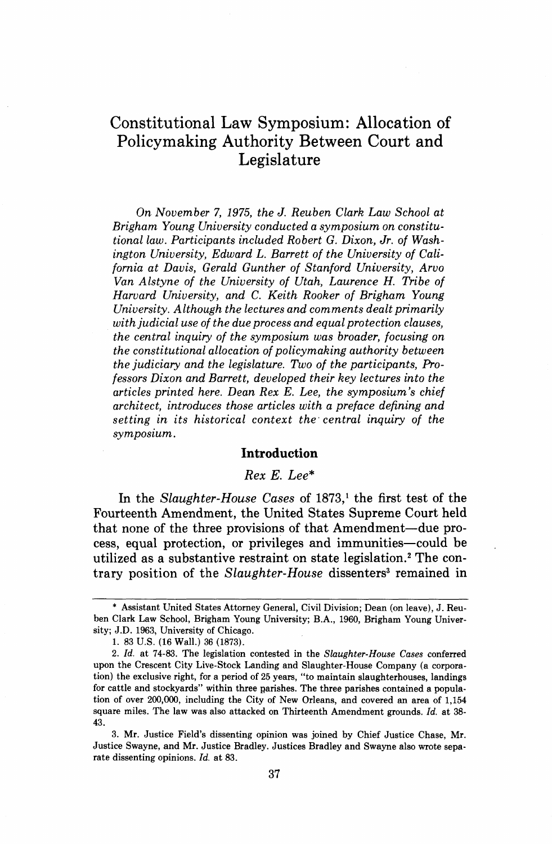## Constitutional Law Symposium: Allocation of Policymaking Authority Between Court and Legislature

*On November 7, 1975, the J. Reuben Clark Law School at Brigham Young University conducted a symposium on constitutional law. Participants included Robert G. Dixon, Jr. of Washington University, Edward L. Barrett of the University of California at Davis, Gerald Gunther of Stanford University, Arvo Van Alstyne of the University of Utah, Laurence H. Tribe of Harvard University, and C. Keith Rooker of Brigham Young University. Although the lectures and comments dealt primarily with judicial use of the due process and equal protection clauses, the central inquiry of the symposium was broader, focusing on the constitutional allocation of policymaking authority between the judiciary and the legislature. Two of the participants, Professors Dixon and Barrett, developed their key lectures into the articles printed here. Dean Rex E. Lee, the symposium's chief architect, introduces those articles with a preface defining and setting in its historical context the. central inquiry of the*  symposium.

#### **Introduction**

#### Rex E. Lee\*

In the Slaughter-House Cases of **1873,'** the first test of the Fourteenth Amendment, the United States Supreme Court held that none of the three provisions of that Amendment-due process, equal protection, or privileges and immunities-could be utilized as a substantive restraint on state legislation.<sup>2</sup> The contrary position of the Slaughter-House dissenters<sup>3</sup> remained in

<sup>\*</sup> Assistant United States Attorney General, Civil Division; Dean (on leave), J. Reuben Clark Law School, Brigham Young University; B.A., 1960, Brigham Young University; J.D. 1963, University of Chicago.

<sup>1. 83</sup> US. (16 Wall.) 36 (1873).

<sup>2.</sup> Id. at 74-83. The legislation contested in the *Slaughter-House Cases* conferred upon the Crescent City Live-Stock Landing and Slaughter-House Company (a corporation) the exclusive right, for a period of 25 years, "to maintain slaughterhouses, landings for cattle and stockyards" within three parishes. The three parishes contained a population of over 200,000, including the City of New Orleans, and covered **an** area of 1,154 square miles. The law was also attacked on Thirteenth Amendment grounds. Id. at 38- 43.

<sup>3.</sup> Mr. Justice Field's dissenting opinion was joined by Chief Justice Chase, Mr. Justice Swayne, and Mr. Justice Bradley. Justices Bradley and Swayne also wrote separate dissenting opinions. Id. at 83.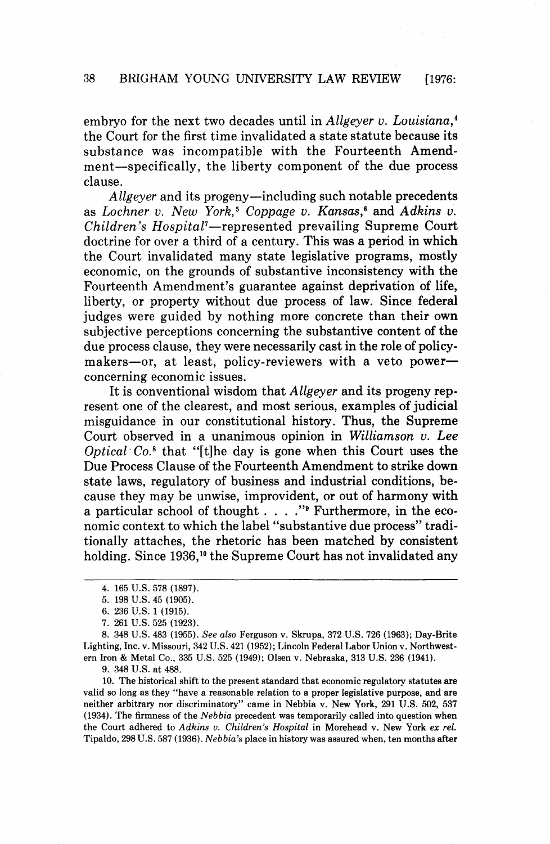embryo for the next two decades until in Allgeyer v. Louisiana, $4$ the Court for the first time invalidated **a** state statute because its substance was incompatible with the Fourteenth Amendment-specifically, the liberty component of the due process clause.

Allgeyer and its progeny-including such notable precedents as Lochner v. New York,<sup>5</sup> Coppage v. Kansas,<sup>6</sup> and Adkins v. Children's Hospital<sup>7</sup>-represented prevailing Supreme Court doctrine for over a third of a century. This was a period in which the Court invalidated many state legislative programs, mostly economic, on the grounds of substantive inconsistency with the Fourteenth Amendment's guarantee against deprivation of life, liberty, or property without due process of law. Since federal judges were guided by nothing more concrete than their own subjective perceptions concerning the substantive content of the due process clause, they were necessarily cast in the role of policymakers-or, at least, policy-reviewers with a veto powerconcerning economic issues.

It is conventional wisdom that Allgeyer and its progeny represent one of the clearest, and most serious, examples of judicial misguidance in our constitutional history. Thus, the Supreme Court observed in a unanimous opinion in Williamson v. *Lee*  Optical  $Co$ <sup>\*</sup> that "[t]he day is gone when this Court uses the Due Process Clause of the Fourteenth Amendment to strike down state laws, regulatory of business and industrial conditions, because they may be unwise, improvident, or out of harmony with a particular school of thought  $\ldots$  . . . . " Furthermore, in the economic context to which the label "substantive due process" traditionally attaches, the rhetoric has been matched by consistent holding. Since **1936,1°** the Supreme Court has not invalidated any

**8. 348 U.S. 483 (1955).** *See also* **Ferguson v. Skrupa, 372 U.S. 726 (1963); Day-Brite Lighting, Inc. v. Missouri, 342 U.S. 421 (1952); Lincoln Federal Labor Union v. Northwestern Iron** & **Metal Co., 335 U.S. 525 (1949); Olsen v. Nebraska, 313 U.S. 236 (1941).** 

**9. 348 U.S. at 488.** 

**10. The historical shift to the present standard that economic regulatory statutes are valid so long as they "have a reasonable relation to a proper legislative purpose, and are neither arbitrary nor discriminatory" came in Nebbia v. New York, 291 US. 502, 537 (1934). The firmness of the** *Nebbia* **precedent was temporarily called into question when the Court adhered to** *Adkins* **v.** *Children's Hospital* **in Morehead v. New York** *ex* **rel. Tipaldo, 298 U.S. 587 (1936).** *Nebbia's* **place in history was assured when, ten months after** 

**<sup>4. 165</sup> U.S. 578 (1897).** 

**<sup>5. 198</sup> U.S. 45 (1905).** 

**<sup>6. 236</sup> U.S. 1 (1915).** 

**<sup>7. 261</sup> U.S. 525 (1923).**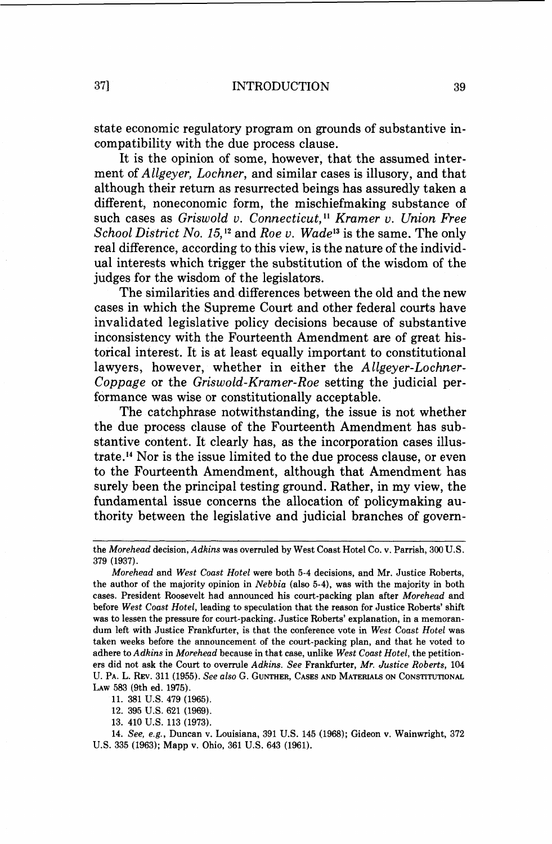state economic regulatory program on grounds of substantive incompatibility with the due process clause.

It is the opinion of some, however, that the assumed interment of Allgeyer, Lochner, and similar cases is illusory, and that although their return as resurrected beings has assuredly taken a different, noneconomic form, the mischiefmaking substance of such cases as Griswold v. Connecticut,<sup>11</sup> Kramer v. Union Free School District No. 15.<sup>12</sup> and Roe *v.* Wade<sup>13</sup> is the same. The only real difference, according to this view, is the nature of the individual interests which trigger the substitution of the wisdom of the judges for the wisdom of the legislators.

The similarities and differences between the old and the new cases in which the Supreme Court and other federal courts have invalidated legislative policy decisions because of substantive inconsistency with the Fourteenth Amendment are of great historical interest. It is at least equally important to constitutional lawyers, however, whether in either the *Allgeyer-Lochner-*Coppage or the Griswold-Kramer-Roe setting the judicial performance was wise or constitutionally acceptable.

The catchphrase notwithstanding, the issue is not whether the due process clause of the Fourteenth Amendment has substantive content. It clearly has, as the incorporation cases illustrate.14 Nor is the issue limited to the due process clause, or even to the Fourteenth Amendment, although that Amendment has surely been the principal testing ground. Rather, in my view, the fundamental issue concerns the allocation of policymaking authority between the legislative and judicial branches of govern-

**11. 381** U.S. **479 (1965).** 

**12. 395** U.S. **621 (1969).** 

**13. 410** U.S. **113 (1973).** 

**14.** See, e.g., Duncan v. Louisiana, **391** U.S. **145 (1968);** Gideon v. Wainwright, **372**  U.S. **335 (1963);** Mapp v. Ohio, **361** U.S. **643 (1961).** 

the Morehead decision, Adkins was overruled by West Coast Hotel Co. v. Parrish, **300** U.S. **379 (1937).** 

Morehead and West Coast Hotel were both **5-4** decisions, and Mr. Justice Roberts, the author of the majority opinion in Nebbia (also **5-4),** was with the majority in both cases. President Roosevelt had announced his court-packing plan after Morehead and before West Coast Hotel, leading to speculation that the reason for Justice Roberts' shift was to lessen the pressure for court-packing. Justice Roberts' explanation, in a memorandum left with Justice Frankfurter, is that the conference vote in West Coast Hotel was taken weeks before the announcement of the court-packing plan, and that he voted to adhere to Adkins in Morehead because in that case, unlike West Coast Hotel, the petitioners did not ask the Court to overrule Adkins. See Frankfurter, Mr. Justice Roberts, **104**  U. PA. L. **REV. 311 (1955).** See also **G.** GUNTHER, CASES AND MATERIALS ON CONSTITUTIONAL LAW **583 (9th** ed. **1975).**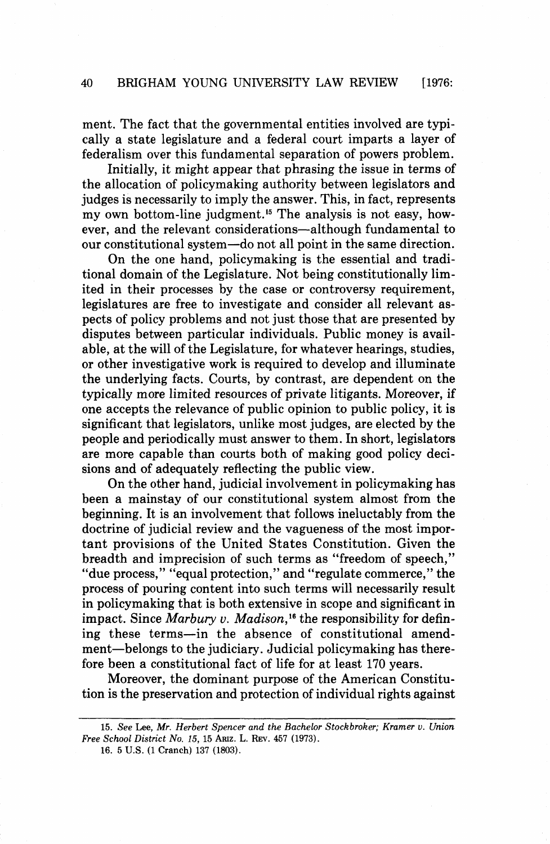ment. The fact that the governmental entities involved are typically a state legislature and a federal court imparts a layer of federalism over this fundamental separation of powers problem.

Initially, it might appear that phrasing the issue in terms of the allocation of policymaking authority between legislators and judges is necessarily to imply the answer. This, in fact, represents my own bottom-line judgment.<sup>15</sup> The analysis is not easy, however, and the relevant considerations-although fundamental to our constitutional system-do not all point in the same direction.

On the one hand, policymaking is the essential and traditional domain of the Legislature. Not being constitutionally limited in their processes by the case or controversy requirement, legislatures are free to investigate and consider all relevant aspects of policy problems and not just those that are presented by disputes between particular individuals. Public money is available, at the will of the Legislature, for whatever hearings, studies, or other investigative work is required to develop and illuminate the underlying facts. Courts, by contrast, are dependent on the typically more limited resources of private litigants. Moreover, if one accepts the relevance of public opinion to public policy, it is significant that legislators, unlike most judges, are elected by the people and periodically must answer to them. In short, legislators are more capable than courts both of making good policy decisions and of adequately reflecting the public view.

On the other hand, judicial involvement in policymaking has been a mainstay of our constitutional system almost from the beginning. It is an involvement that follows ineluctably from the doctrine of judicial review and the vagueness of the most important provisions of the United States Constitution. Given the breadth and imprecision of such terms as "freedom of speech," "due process," "equal protection," and "regulate commerce," the process of pouring content into such terms will necessarily result in policymaking that is both extensive in scope and significant in impact. Since *Marbury v. Madison*,<sup>16</sup> the responsibility for defining these terms-in the absence of constitutional amendment-belongs to the judiciary. Judicial policymaking has therefore been a constitutional fact of life for at least 170 years.

Moreover, the dominant purpose of the American Constitution is the preservation and protection of individual rights against

**16. 5 U.S. (1 Cranch) 137 (1803).** 

**<sup>15.</sup>** *See* **Lee,** *Mr. Herbert Spencer and the Bachelor Stockbroker; Kramer* **v.** *Union Free School District No. 15,* **15 ARIZ. L. REV. 457 (1973).**